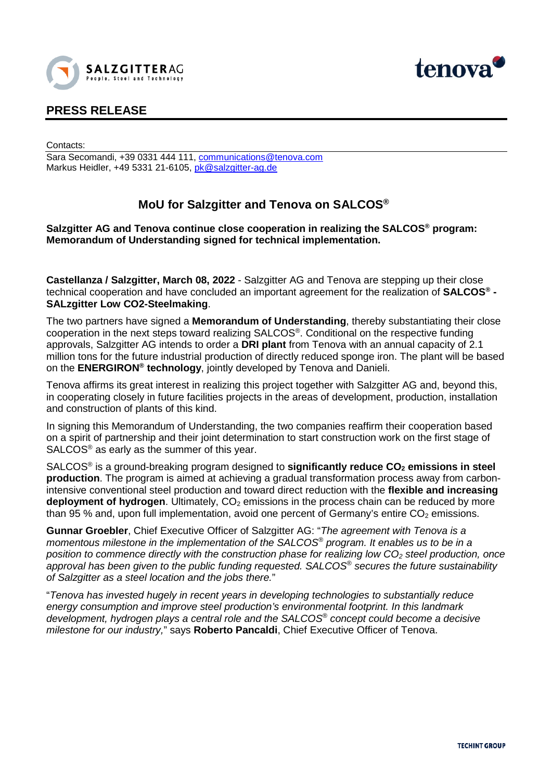



## **PRESS RELEASE**

Contacts:

Sara Secomandi, +39 0331 444 111, [communications@tenova.com](mailto:communications@tenova.com) Markus Heidler, +49 5331 21-6105, [pk@salzgitter-ag.de](mailto:pk@salzgitter-ag.de)

# **MoU for Salzgitter and Tenova on SALCOS®**

## **Salzgitter AG and Tenova continue close cooperation in realizing the SALCOS® program: Memorandum of Understanding signed for technical implementation.**

**Castellanza / Salzgitter, March 08, 2022** - Salzgitter AG and Tenova are stepping up their close technical cooperation and have concluded an important agreement for the realization of **SALCOS® - SALzgitter Low CO2-Steelmaking**.

The two partners have signed a **Memorandum of Understanding**, thereby substantiating their close cooperation in the next steps toward realizing SALCOS®. Conditional on the respective funding approvals, Salzgitter AG intends to order a **DRI plant** from Tenova with an annual capacity of 2.1 million tons for the future industrial production of directly reduced sponge iron. The plant will be based on the **ENERGIRON® technology**, jointly developed by Tenova and Danieli.

Tenova affirms its great interest in realizing this project together with Salzgitter AG and, beyond this, in cooperating closely in future facilities projects in the areas of development, production, installation and construction of plants of this kind.

In signing this Memorandum of Understanding, the two companies reaffirm their cooperation based on a spirit of partnership and their joint determination to start construction work on the first stage of SALCOS® as early as the summer of this year.

SALCOS<sup>®</sup> is a ground-breaking program designed to **significantly reduce CO<sub>2</sub> emissions in steel production**. The program is aimed at achieving a gradual transformation process away from carbonintensive conventional steel production and toward direct reduction with the **flexible and increasing deployment of hydrogen**. Ultimately, CO<sub>2</sub> emissions in the process chain can be reduced by more than 95 % and, upon full implementation, avoid one percent of Germany's entire  $CO<sub>2</sub>$  emissions.

**Gunnar Groebler**, Chief Executive Officer of Salzgitter AG: "*The agreement with Tenova is a momentous milestone in the implementation of the SALCOS® program. It enables us to be in a position to commence directly with the construction phase for realizing low CO<sub>2</sub> steel production, once approval has been given to the public funding requested. SALCOS® secures the future sustainability of Salzgitter as a steel location and the jobs there.*"

"*Tenova has invested hugely in recent years in developing technologies to substantially reduce energy consumption and improve steel production's environmental footprint. In this landmark development, hydrogen plays a central role and the SALCOS® concept could become a decisive milestone for our industry,*" says **Roberto Pancaldi**, Chief Executive Officer of Tenova.